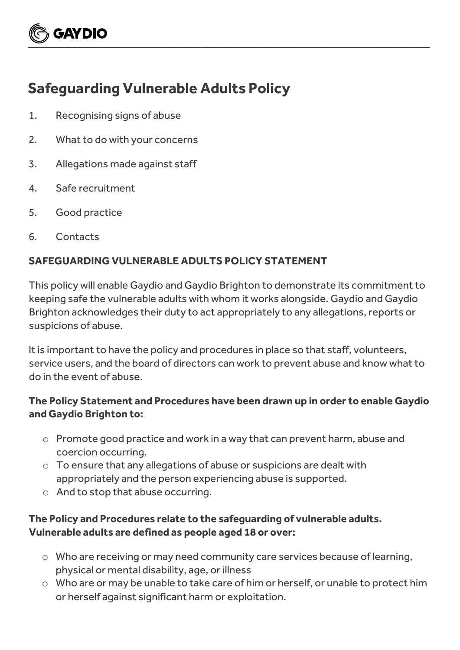# **GAYDIO**  $\underbrace{\smile}$  , and the contract of the contract of the contract of the contract of the contract of the contract of the contract of the contract of the contract of the contract of the contract of the contract of the contract

# **Safeguarding Vulnerable Adults Policy**

- 1. Recognising signs of abuse
- 2. What to do with your concerns
- 3. Allegations made against staff
- 4. Safe recruitment
- 5. Good practice
- 6. Contacts

## **SAFEGUARDING VULNERABLE ADULTS POLICY STATEMENT**

This policy will enable Gaydio and Gaydio Brighton to demonstrate its commitment to keeping safe the vulnerable adults with whom it works alongside. Gaydio and Gaydio Brighton acknowledges their duty to act appropriately to any allegations, reports or suspicions of abuse.

It is important to have the policy and procedures in place so that staff, volunteers, service users, and the board of directors can work to prevent abuse and know what to do in the event of abuse.

#### **The Policy Statement and Procedures have been drawn up in order to enable Gaydio and Gaydio Brighton to:**

- o Promote good practice and work in a way that can prevent harm, abuse and coercion occurring.
- o To ensure that any allegations of abuse or suspicions are dealt with appropriately and the person experiencing abuse is supported.
- o And to stop that abuse occurring.

### **The Policy and Procedures relate to the safeguarding of vulnerable adults. Vulnerable adults are defined as people aged 18 or over:**

- o Who are receiving or may need community care services because of learning, physical or mental disability, age, or illness
- o Who are or may be unable to take care of him or herself, or unable to protect him or herself against significant harm or exploitation.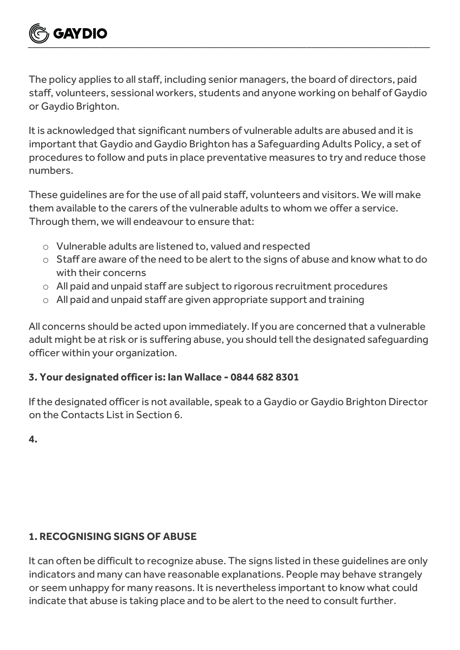

The policy applies to all staff, including senior managers, the board of directors, paid staff, volunteers, sessional workers, students and anyone working on behalf of Gaydio or Gaydio Brighton.

It is acknowledged that significant numbers of vulnerable adults are abused and it is important that Gaydio and Gaydio Brighton has a Safeguarding Adults Policy, a set of procedures to follow and puts in place preventative measures to try and reduce those numbers.

These guidelines are for the use of all paid staff, volunteers and visitors. We will make them available to the carers of the vulnerable adults to whom we offer a service. Through them, we will endeavour to ensure that:

- o Vulnerable adults are listened to, valued and respected
- o Staff are aware of the need to be alert to the signs of abuse and know what to do with their concerns
- o All paid and unpaid staff are subject to rigorous recruitment procedures
- o All paid and unpaid staff are given appropriate support and training

All concerns should be acted upon immediately. If you are concerned that a vulnerable adult might be at risk or is suffering abuse, you should tell the designated safeguarding officer within your organization.

#### **3. Your designated officer is: Ian Wallace - 0844 682 8301**

If the designated officer is not available, speak to a Gaydio or Gaydio Brighton Director on the Contacts List in Section 6.

**4.** 

#### **1. RECOGNISING SIGNS OF ABUSE**

It can often be difficult to recognize abuse. The signs listed in these guidelines are only indicators and many can have reasonable explanations. People may behave strangely or seem unhappy for many reasons. It is nevertheless important to know what could indicate that abuse is taking place and to be alert to the need to consult further.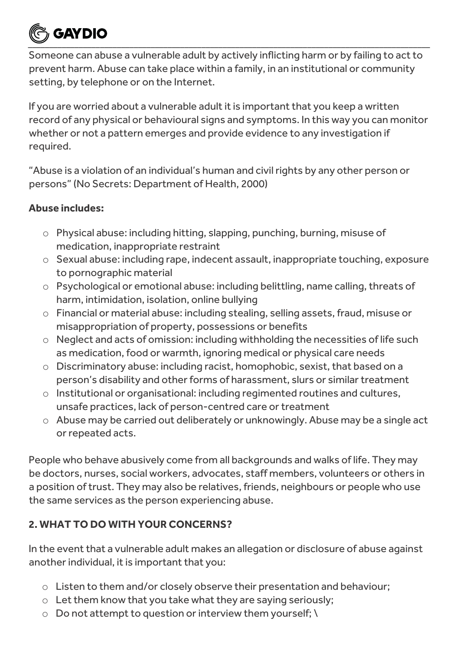# **GAYDIO**  $\underbrace{\smile}$  , and the contract of the contract of the contract of the contract of the contract of the contract of the contract of the contract of the contract of the contract of the contract of the contract of the contract

Someone can abuse a vulnerable adult by actively inflicting harm or by failing to act to prevent harm. Abuse can take place within a family, in an institutional or community setting, by telephone or on the Internet.

If you are worried about a vulnerable adult it is important that you keep a written record of any physical or behavioural signs and symptoms. In this way you can monitor whether or not a pattern emerges and provide evidence to any investigation if required.

"Abuse is a violation of an individual's human and civil rights by any other person or persons" (No Secrets: Department of Health, 2000)

#### **Abuse includes:**

- o Physical abuse: including hitting, slapping, punching, burning, misuse of medication, inappropriate restraint
- o Sexual abuse: including rape, indecent assault, inappropriate touching, exposure to pornographic material
- o Psychological or emotional abuse: including belittling, name calling, threats of harm, intimidation, isolation, online bullying
- o Financial or material abuse: including stealing, selling assets, fraud, misuse or misappropriation of property, possessions or benefits
- o Neglect and acts of omission: including withholding the necessities of life such as medication, food or warmth, ignoring medical or physical care needs
- o Discriminatory abuse: including racist, homophobic, sexist, that based on a person's disability and other forms of harassment, slurs or similar treatment
- o Institutional or organisational: including regimented routines and cultures, unsafe practices, lack of person-centred care or treatment
- o Abuse may be carried out deliberately or unknowingly. Abuse may be a single act or repeated acts.

People who behave abusively come from all backgrounds and walks of life. They may be doctors, nurses, social workers, advocates, staff members, volunteers or others in a position of trust. They may also be relatives, friends, neighbours or people who use the same services as the person experiencing abuse.

## **2. WHAT TO DO WITH YOUR CONCERNS?**

In the event that a vulnerable adult makes an allegation or disclosure of abuse against another individual, it is important that you:

- o Listen to them and/or closely observe their presentation and behaviour;
- o Let them know that you take what they are saying seriously;
- o Do not attempt to question or interview them yourself; \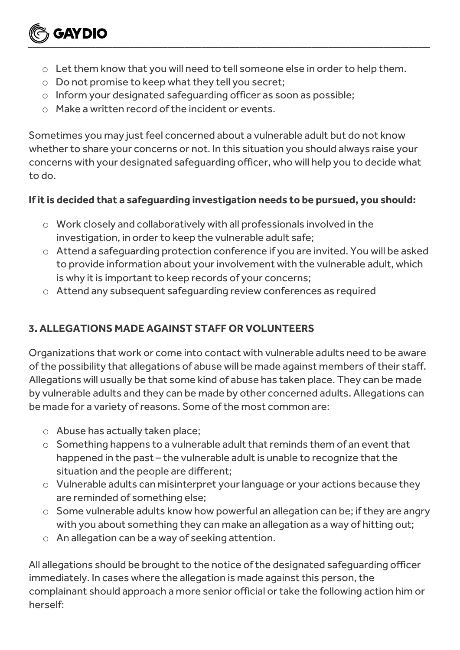

 $\underbrace{\smile}$  , and the contract of the contract of the contract of the contract of the contract of the contract of the contract of the contract of the contract of the contract of the contract of the contract of the contract

o Do not promise to keep what they tell you secret;

**GAYDIO** 

- o Inform your designated safeguarding officer as soon as possible;
- $\circ$  Make a written record of the incident or events.

Sometimes you may just feel concerned about a vulnerable adult but do not know whether to share your concerns or not. In this situation you should always raise your concerns with your designated safeguarding officer, who will help you to decide what to do.

#### **If it is decided that a safeguarding investigation needs to be pursued, you should:**

- o Work closely and collaboratively with all professionals involved in the investigation, in order to keep the vulnerable adult safe;
- o Attend a safeguarding protection conference if you are invited. You will be asked to provide information about your involvement with the vulnerable adult, which is why it is important to keep records of your concerns;
- o Attend any subsequent safeguarding review conferences as required

## **3. ALLEGATIONS MADE AGAINST STAFF OR VOLUNTEERS**

Organizations that work or come into contact with vulnerable adults need to be aware of the possibility that allegations of abuse will be made against members of their staff. Allegations will usually be that some kind of abuse has taken place. They can be made by vulnerable adults and they can be made by other concerned adults. Allegations can be made for a variety of reasons. Some of the most common are:

- o Abuse has actually taken place;
- o Something happens to a vulnerable adult that reminds them of an event that happened in the past – the vulnerable adult is unable to recognize that the situation and the people are different;
- o Vulnerable adults can misinterpret your language or your actions because they are reminded of something else;
- o Some vulnerable adults know how powerful an allegation can be; if they are angry with you about something they can make an allegation as a way of hitting out;
- o An allegation can be a way of seeking attention.

All allegations should be brought to the notice of the designated safeguarding officer immediately. In cases where the allegation is made against this person, the complainant should approach a more senior official or take the following action him or herself: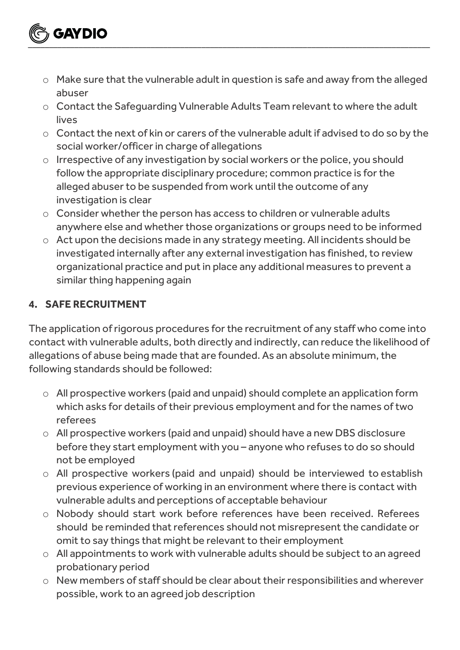- **GAYDIO**  $\underbrace{\smile}$  , and the contract of the contract of the contract of the contract of the contract of the contract of the contract of the contract of the contract of the contract of the contract of the contract of the contract
	- o Make sure that the vulnerable adult in question is safe and away from the alleged abuser
	- o Contact the Safeguarding Vulnerable Adults Team relevant to where the adult lives
	- o Contact the next of kin or carers of the vulnerable adult if advised to do so by the social worker/officer in charge of allegations
	- o Irrespective of any investigation by social workers or the police, you should follow the appropriate disciplinary procedure; common practice is for the alleged abuser to be suspended from work until the outcome of any investigation is clear
	- o Consider whether the person has access to children or vulnerable adults anywhere else and whether those organizations or groups need to be informed
	- o Act upon the decisions made in any strategy meeting. All incidents should be investigated internally after any external investigation has finished, to review organizational practice and put in place any additional measures to prevent a similar thing happening again

### **4. SAFE RECRUITMENT**

The application of rigorous procedures for the recruitment of any staff who come into contact with vulnerable adults, both directly and indirectly, can reduce the likelihood of allegations of abuse being made that are founded. As an absolute minimum, the following standards should be followed:

- o All prospective workers (paid and unpaid) should complete an application form which asks for details of their previous employment and for the names of two referees
- o All prospective workers (paid and unpaid) should have a new DBS disclosure before they start employment with you – anyone who refuses to do so should not be employed
- o All prospective workers (paid and unpaid) should be interviewed to establish previous experience of working in an environment where there is contact with vulnerable adults and perceptions of acceptable behaviour
- o Nobody should start work before references have been received. Referees should be reminded that references should not misrepresent the candidate or omit to say things that might be relevant to their employment
- o All appointments to work with vulnerable adults should be subject to an agreed probationary period
- o New members of staff should be clear about their responsibilities and wherever possible, work to an agreed job description